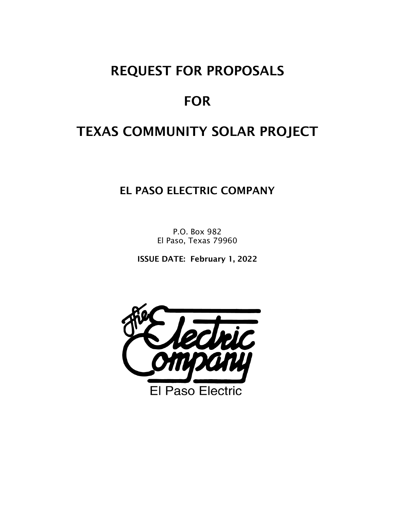# REQUEST FOR PROPOSALS

# **FOR**

# TEXAS COMMUNITY SOLAR PROJECT

EL PASO ELECTRIC COMPANY

P.O. Box 982 El Paso, Texas 79960

ISSUE DATE: February 1, 2022

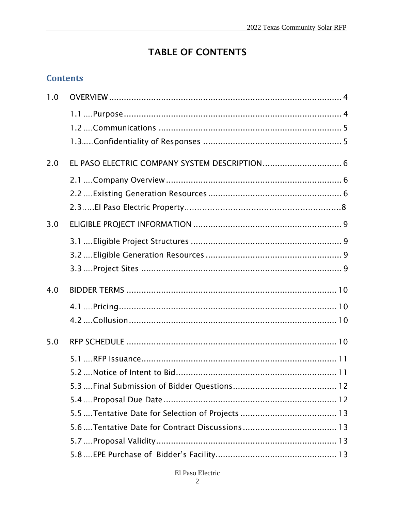## **TABLE OF CONTENTS**

## **Contents**

| 1.0 |  |
|-----|--|
|     |  |
|     |  |
|     |  |
| 2.0 |  |
|     |  |
|     |  |
|     |  |
| 3.0 |  |
|     |  |
|     |  |
|     |  |
| 4.0 |  |
|     |  |
|     |  |
|     |  |
| 5.0 |  |
|     |  |
|     |  |
|     |  |
|     |  |
|     |  |
|     |  |
|     |  |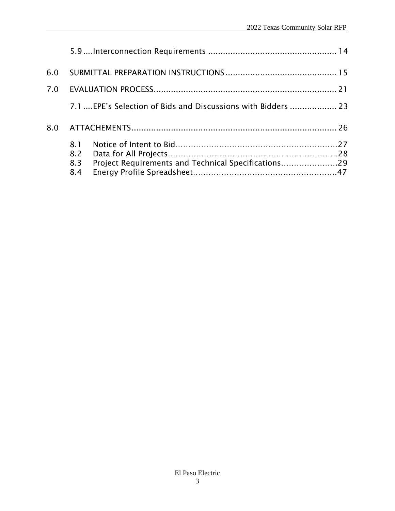| 6.0 |            |                                                               |  |
|-----|------------|---------------------------------------------------------------|--|
| 7.0 |            |                                                               |  |
|     |            | 7.1  EPE's Selection of Bids and Discussions with Bidders  23 |  |
| 8.0 |            |                                                               |  |
|     | 8.1        |                                                               |  |
|     | 8.2        |                                                               |  |
|     | 8.3<br>8.4 | Project Requirements and Technical Specifications29           |  |
|     |            |                                                               |  |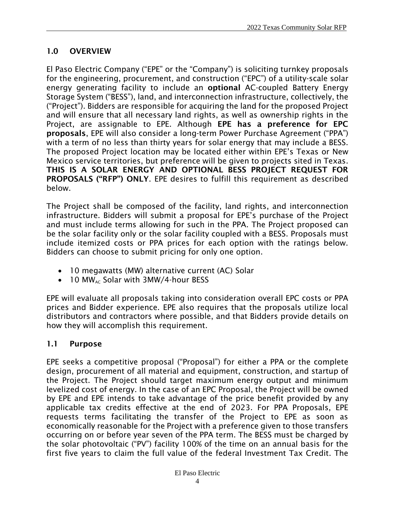## <span id="page-3-0"></span>1.0 OVERVIEW

El Paso Electric Company ("EPE" or the "Company") is soliciting turnkey proposals for the engineering, procurement, and construction ("EPC") of a utility-scale solar energy generating facility to include an optional AC-coupled Battery Energy Storage System ("BESS"), land, and interconnection infrastructure, collectively, the ("Project"). Bidders are responsible for acquiring the land for the proposed Project and will ensure that all necessary land rights, as well as ownership rights in the Project, are assignable to EPE. Although EPE has a preference for EPC proposals, EPE will also consider a long-term Power Purchase Agreement ("PPA") with a term of no less than thirty years for solar energy that may include a BESS. The proposed Project location may be located either within EPE's Texas or New Mexico service territories, but preference will be given to projects sited in Texas. THIS IS A SOLAR ENERGY AND OPTIONAL BESS PROJECT REQUEST FOR PROPOSALS ("RFP") ONLY. EPE desires to fulfill this requirement as described below.

The Project shall be composed of the facility, land rights, and interconnection infrastructure. Bidders will submit a proposal for EPE's purchase of the Project and must include terms allowing for such in the PPA. The Project proposed can be the solar facility only or the solar facility coupled with a BESS. Proposals must include itemized costs or PPA prices for each option with the ratings below. Bidders can choose to submit pricing for only one option.

- 10 megawatts (MW) alternative current (AC) Solar
- $\bullet$  10 MW<sub>AC</sub> Solar with 3MW/4-hour BESS

EPE will evaluate all proposals taking into consideration overall EPC costs or PPA prices and Bidder experience. EPE also requires that the proposals utilize local distributors and contractors where possible, and that Bidders provide details on how they will accomplish this requirement.

#### <span id="page-3-1"></span>1.1 Purpose

EPE seeks a competitive proposal ("Proposal") for either a PPA or the complete design, procurement of all material and equipment, construction, and startup of the Project. The Project should target maximum energy output and minimum levelized cost of energy. In the case of an EPC Proposal, the Project will be owned by EPE and EPE intends to take advantage of the price benefit provided by any applicable tax credits effective at the end of 2023. For PPA Proposals, EPE requests terms facilitating the transfer of the Project to EPE as soon as economically reasonable for the Project with a preference given to those transfers occurring on or before year seven of the PPA term. The BESS must be charged by the solar photovoltaic ("PV") facility 100% of the time on an annual basis for the first five years to claim the full value of the federal Investment Tax Credit. The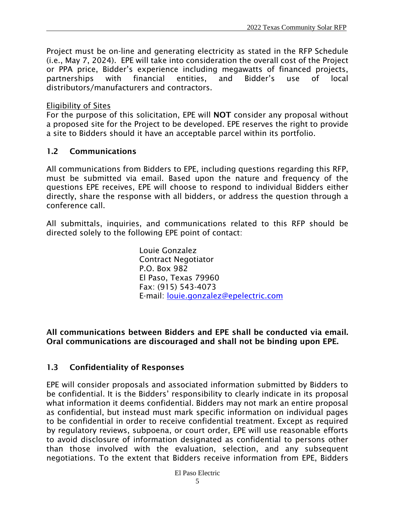Project must be on-line and generating electricity as stated in the RFP Schedule (i.e., May 7, 2024). EPE will take into consideration the overall cost of the Project or PPA price, Bidder's experience including megawatts of financed projects, partnerships with financial entities, and Bidder's use of local distributors/manufacturers and contractors.

#### Eligibility of Sites

For the purpose of this solicitation, EPE will NOT consider any proposal without a proposed site for the Project to be developed. EPE reserves the right to provide a site to Bidders should it have an acceptable parcel within its portfolio.

#### <span id="page-4-0"></span>1.2 Communications

All communications from Bidders to EPE, including questions regarding this RFP, must be submitted via email. Based upon the nature and frequency of the questions EPE receives, EPE will choose to respond to individual Bidders either directly, share the response with all bidders, or address the question through a conference call.

All submittals, inquiries, and communications related to this RFP should be directed solely to the following EPE point of contact:

> Louie Gonzalez Contract Negotiator P.O. Box 982 El Paso, Texas 79960 Fax: (915) 543-4073 E-mail: [louie.gonzalez@epelectric.com](https://livelink/contentserverdav/nodes/102744859/louie.gonzalez%40epelectric.com)

#### All communications between Bidders and EPE shall be conducted via email. Oral communications are discouraged and shall not be binding upon EPE.

## <span id="page-4-1"></span>1.3 Confidentiality of Responses

EPE will consider proposals and associated information submitted by Bidders to be confidential. It is the Bidders' responsibility to clearly indicate in its proposal what information it deems confidential. Bidders may not mark an entire proposal as confidential, but instead must mark specific information on individual pages to be confidential in order to receive confidential treatment. Except as required by regulatory reviews, subpoena, or court order, EPE will use reasonable efforts to avoid disclosure of information designated as confidential to persons other than those involved with the evaluation, selection, and any subsequent negotiations. To the extent that Bidders receive information from EPE, Bidders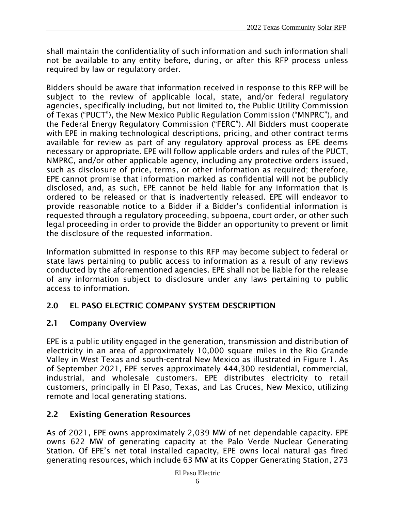shall maintain the confidentiality of such information and such information shall not be available to any entity before, during, or after this RFP process unless required by law or regulatory order.

Bidders should be aware that information received in response to this RFP will be subject to the review of applicable local, state, and/or federal regulatory agencies, specifically including, but not limited to, the Public Utility Commission of Texas ("PUCT"), the New Mexico Public Regulation Commission ("MNPRC"), and the Federal Energy Regulatory Commission ("FERC"). All Bidders must cooperate with EPE in making technological descriptions, pricing, and other contract terms available for review as part of any regulatory approval process as EPE deems necessary or appropriate. EPE will follow applicable orders and rules of the PUCT, NMPRC, and/or other applicable agency, including any protective orders issued, such as disclosure of price, terms, or other information as required; therefore, EPE cannot promise that information marked as confidential will not be publicly disclosed, and, as such, EPE cannot be held liable for any information that is ordered to be released or that is inadvertently released. EPE will endeavor to provide reasonable notice to a Bidder if a Bidder's confidential information is requested through a regulatory proceeding, subpoena, court order, or other such legal proceeding in order to provide the Bidder an opportunity to prevent or limit the disclosure of the requested information.

Information submitted in response to this RFP may become subject to federal or state laws pertaining to public access to information as a result of any reviews conducted by the aforementioned agencies. EPE shall not be liable for the release of any information subject to disclosure under any laws pertaining to public access to information.

## <span id="page-5-0"></span>2.0 EL PASO ELECTRIC COMPANY SYSTEM DESCRIPTION

## <span id="page-5-1"></span>2.1 Company Overview

EPE is a public utility engaged in the generation, transmission and distribution of electricity in an area of approximately 10,000 square miles in the Rio Grande Valley in West Texas and south-central New Mexico as illustrated in Figure 1. As of September 2021, EPE serves approximately 444,300 residential, commercial, industrial, and wholesale customers. EPE distributes electricity to retail customers, principally in El Paso, Texas, and Las Cruces, New Mexico, utilizing remote and local generating stations.

## <span id="page-5-2"></span>2.2 Existing Generation Resources

As of 2021, EPE owns approximately 2,039 MW of net dependable capacity. EPE owns 622 MW of generating capacity at the Palo Verde Nuclear Generating Station. Of EPE's net total installed capacity, EPE owns local natural gas fired generating resources, which include 63 MW at its Copper Generating Station, 273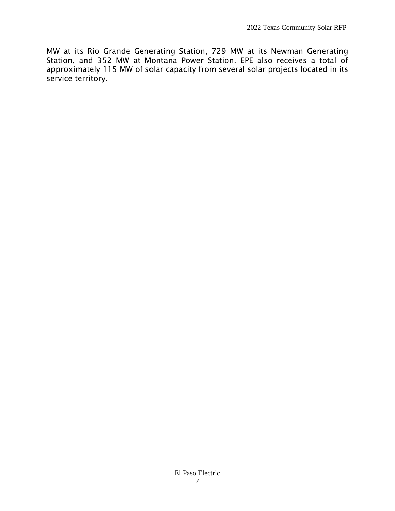MW at its Rio Grande Generating Station, 729 MW at its Newman Generating Station, and 352 MW at Montana Power Station. EPE also receives a total of approximately 115 MW of solar capacity from several solar projects located in its service territory.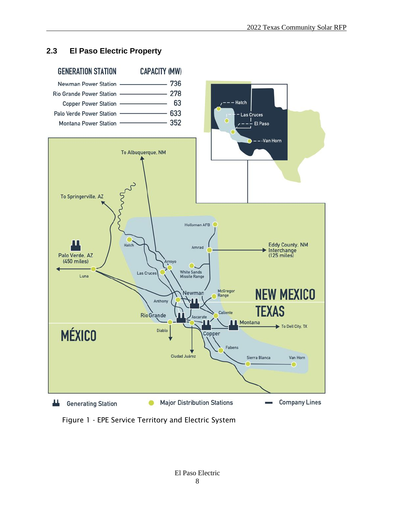#### **2.3 El Paso Electric Property**



Figure 1 - EPE Service Territory and Electric System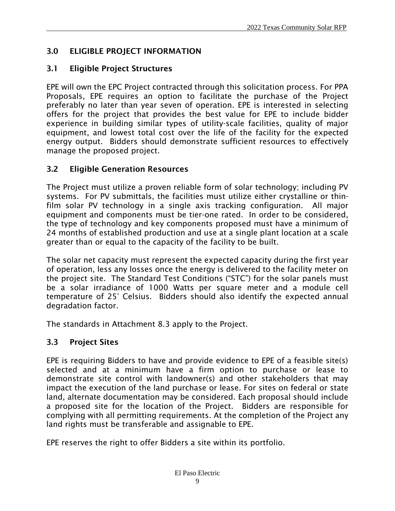## <span id="page-8-0"></span>3.0 ELIGIBLE PROJECT INFORMATION

## <span id="page-8-1"></span>3.1 Eligible Project Structures

EPE will own the EPC Project contracted through this solicitation process. For PPA Proposals, EPE requires an option to facilitate the purchase of the Project preferably no later than year seven of operation. EPE is interested in selecting offers for the project that provides the best value for EPE to include bidder experience in building similar types of utility-scale facilities, quality of major equipment, and lowest total cost over the life of the facility for the expected energy output. Bidders should demonstrate sufficient resources to effectively manage the proposed project.

## <span id="page-8-2"></span>3.2 Eligible Generation Resources

The Project must utilize a proven reliable form of solar technology; including PV systems. For PV submittals, the facilities must utilize either crystalline or thinfilm solar PV technology in a single axis tracking configuration. All major equipment and components must be tier-one rated. In order to be considered, the type of technology and key components proposed must have a minimum of 24 months of established production and use at a single plant location at a scale greater than or equal to the capacity of the facility to be built.

The solar net capacity must represent the expected capacity during the first year of operation, less any losses once the energy is delivered to the facility meter on the project site. The Standard Test Conditions ("STC") for the solar panels must be a solar irradiance of 1000 Watts per square meter and a module cell temperature of 25° Celsius. Bidders should also identify the expected annual degradation factor.

The standards in Attachment 8.3 apply to the Project.

## <span id="page-8-3"></span>3.3 Project Sites

EPE is requiring Bidders to have and provide evidence to EPE of a feasible site(s) selected and at a minimum have a firm option to purchase or lease to demonstrate site control with landowner(s) and other stakeholders that may impact the execution of the land purchase or lease. For sites on federal or state land, alternate documentation may be considered. Each proposal should include a proposed site for the location of the Project. Bidders are responsible for complying with all permitting requirements. At the completion of the Project any land rights must be transferable and assignable to EPE.

EPE reserves the right to offer Bidders a site within its portfolio.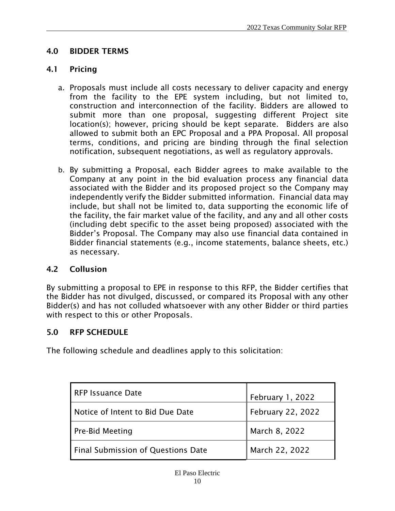### <span id="page-9-0"></span>4.0 BIDDER TERMS

#### <span id="page-9-1"></span>4.1 Pricing

- a. Proposals must include all costs necessary to deliver capacity and energy from the facility to the EPE system including, but not limited to, construction and interconnection of the facility. Bidders are allowed to submit more than one proposal, suggesting different Project site location(s); however, pricing should be kept separate. Bidders are also allowed to submit both an EPC Proposal and a PPA Proposal. All proposal terms, conditions, and pricing are binding through the final selection notification, subsequent negotiations, as well as regulatory approvals.
- b. By submitting a Proposal, each Bidder agrees to make available to the Company at any point in the bid evaluation process any financial data associated with the Bidder and its proposed project so the Company may independently verify the Bidder submitted information. Financial data may include, but shall not be limited to, data supporting the economic life of the facility, the fair market value of the facility, and any and all other costs (including debt specific to the asset being proposed) associated with the Bidder's Proposal. The Company may also use financial data contained in Bidder financial statements (e.g., income statements, balance sheets, etc.) as necessary.

#### <span id="page-9-2"></span>4.2 Collusion

By submitting a proposal to EPE in response to this RFP, the Bidder certifies that the Bidder has not divulged, discussed, or compared its Proposal with any other Bidder(s) and has not colluded whatsoever with any other Bidder or third parties with respect to this or other Proposals.

#### <span id="page-9-3"></span>5.0 RFP SCHEDULE

The following schedule and deadlines apply to this solicitation:

| RFP Issuance Date                         | February 1, 2022  |
|-------------------------------------------|-------------------|
| Notice of Intent to Bid Due Date          | February 22, 2022 |
| <b>Pre-Bid Meeting</b>                    | March 8, 2022     |
| <b>Final Submission of Questions Date</b> | March 22, 2022    |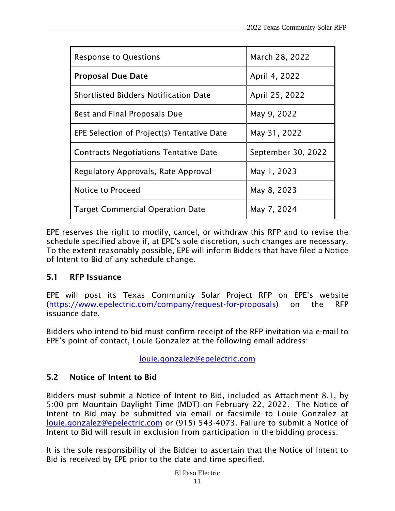| <b>Response to Questions</b>                 | March 28, 2022     |
|----------------------------------------------|--------------------|
| <b>Proposal Due Date</b>                     | April 4, 2022      |
| <b>Shortlisted Bidders Notification Date</b> | April 25, 2022     |
| Best and Final Proposals Due                 | May 9, 2022        |
| EPE Selection of Project(s) Tentative Date   | May 31, 2022       |
| <b>Contracts Negotiations Tentative Date</b> | September 30, 2022 |
| Regulatory Approvals, Rate Approval          | May 1, 2023        |
| Notice to Proceed                            | May 8, 2023        |
| <b>Target Commercial Operation Date</b>      | May 7, 2024        |

EPE reserves the right to modify, cancel, or withdraw this RFP and to revise the schedule specified above if, at EPE's sole discretion, such changes are necessary. To the extent reasonably possible, EPE will inform Bidders that have filed a Notice of Intent to Bid of any schedule change.

#### <span id="page-10-0"></span>5.1 RFP Issuance

EPE will post its Texas Community Solar Project RFP on EPE's website [\(https://www.epelectric.com/company/request-for-proposals\)](https://www.epelectric.com/company/request-for-proposals) on the RFP issuance date.

Bidders who intend to bid must confirm receipt of the RFP invitation via e-mail to EPE's point of contact, Louie Gonzalez at the following email address:

[louie.gonzalez@epelectric.com](https://livelink/contentserverdav/nodes/102744859/louie.gonzalez%40epelectric.com)

## <span id="page-10-1"></span>5.2 Notice of Intent to Bid

Bidders must submit a Notice of Intent to Bid, included as Attachment 8.1, by 5:00 pm Mountain Daylight Time (MDT) on February 22, 2022. The Notice of Intent to Bid may be submitted via email or facsimile to Louie Gonzalez at [louie.gonzalez@epelectric.com](https://livelink/contentserverdav/nodes/102744859/louie.gonzalez%40epelectric.com) or (915) 543-4073. Failure to submit a Notice of Intent to Bid will result in exclusion from participation in the bidding process.

It is the sole responsibility of the Bidder to ascertain that the Notice of Intent to Bid is received by EPE prior to the date and time specified.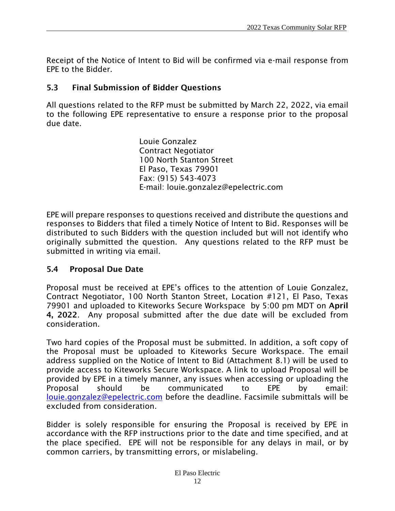Receipt of the Notice of Intent to Bid will be confirmed via e-mail response from EPE to the Bidder.

#### <span id="page-11-0"></span>5.3 Final Submission of Bidder Questions

All questions related to the RFP must be submitted by March 22, 2022, via email to the following EPE representative to ensure a response prior to the proposal due date.

> Louie Gonzalez Contract Negotiator 100 North Stanton Street El Paso, Texas 79901 Fax: (915) 543-4073 E-mail: louie.gonzalez@epelectric.com

EPE will prepare responses to questions received and distribute the questions and responses to Bidders that filed a timely Notice of Intent to Bid. Responses will be distributed to such Bidders with the question included but will not identify who originally submitted the question. Any questions related to the RFP must be submitted in writing via email.

#### <span id="page-11-1"></span>5.4 Proposal Due Date

Proposal must be received at EPE's offices to the attention of Louie Gonzalez, Contract Negotiator, 100 North Stanton Street, Location #121, El Paso, Texas 79901 and uploaded to Kiteworks Secure Workspace by 5:00 pm MDT on April 4, 2022. Any proposal submitted after the due date will be excluded from consideration.

Two hard copies of the Proposal must be submitted. In addition, a soft copy of the Proposal must be uploaded to Kiteworks Secure Workspace. The email address supplied on the Notice of Intent to Bid (Attachment 8.1) will be used to provide access to Kiteworks Secure Workspace. A link to upload Proposal will be provided by EPE in a timely manner, any issues when accessing or uploading the Proposal should be communicated to EPE by email: [louie.gonzalez@epelectric.com](https://livelink/contentserverdav/nodes/102744859/louie.gonzalez%40epelectric.com) before the deadline. Facsimile submittals will be excluded from consideration.

Bidder is solely responsible for ensuring the Proposal is received by EPE in accordance with the RFP instructions prior to the date and time specified, and at the place specified. EPE will not be responsible for any delays in mail, or by common carriers, by transmitting errors, or mislabeling.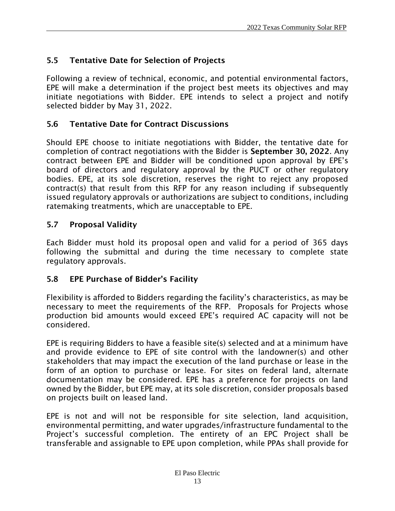## <span id="page-12-0"></span>5.5 Tentative Date for Selection of Projects

Following a review of technical, economic, and potential environmental factors, EPE will make a determination if the project best meets its objectives and may initiate negotiations with Bidder. EPE intends to select a project and notify selected bidder by May 31, 2022.

### <span id="page-12-1"></span>5.6 Tentative Date for Contract Discussions

Should EPE choose to initiate negotiations with Bidder, the tentative date for completion of contract negotiations with the Bidder is September 30, 2022. Any contract between EPE and Bidder will be conditioned upon approval by EPE's board of directors and regulatory approval by the PUCT or other regulatory bodies. EPE, at its sole discretion, reserves the right to reject any proposed contract(s) that result from this RFP for any reason including if subsequently issued regulatory approvals or authorizations are subject to conditions, including ratemaking treatments, which are unacceptable to EPE.

#### <span id="page-12-2"></span>5.7 Proposal Validity

Each Bidder must hold its proposal open and valid for a period of 365 days following the submittal and during the time necessary to complete state regulatory approvals.

#### <span id="page-12-3"></span>5.8 EPE Purchase of Bidder's Facility

Flexibility is afforded to Bidders regarding the facility's characteristics, as may be necessary to meet the requirements of the RFP. Proposals for Projects whose production bid amounts would exceed EPE's required AC capacity will not be considered.

EPE is requiring Bidders to have a feasible site(s) selected and at a minimum have and provide evidence to EPE of site control with the landowner(s) and other stakeholders that may impact the execution of the land purchase or lease in the form of an option to purchase or lease. For sites on federal land, alternate documentation may be considered. EPE has a preference for projects on land owned by the Bidder, but EPE may, at its sole discretion, consider proposals based on projects built on leased land.

EPE is not and will not be responsible for site selection, land acquisition, environmental permitting, and water upgrades/infrastructure fundamental to the Project's successful completion. The entirety of an EPC Project shall be transferable and assignable to EPE upon completion, while PPAs shall provide for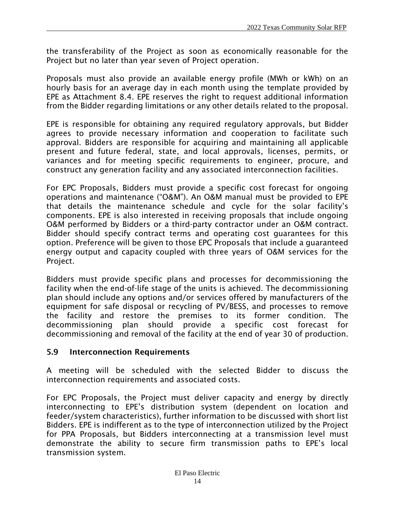the transferability of the Project as soon as economically reasonable for the Project but no later than year seven of Project operation.

Proposals must also provide an available energy profile (MWh or kWh) on an hourly basis for an average day in each month using the template provided by EPE as Attachment 8.4. EPE reserves the right to request additional information from the Bidder regarding limitations or any other details related to the proposal.

EPE is responsible for obtaining any required regulatory approvals, but Bidder agrees to provide necessary information and cooperation to facilitate such approval. Bidders are responsible for acquiring and maintaining all applicable present and future federal, state, and local approvals, licenses, permits, or variances and for meeting specific requirements to engineer, procure, and construct any generation facility and any associated interconnection facilities.

For EPC Proposals, Bidders must provide a specific cost forecast for ongoing operations and maintenance ("O&M"). An O&M manual must be provided to EPE that details the maintenance schedule and cycle for the solar facility's components. EPE is also interested in receiving proposals that include ongoing O&M performed by Bidders or a third-party contractor under an O&M contract. Bidder should specify contract terms and operating cost guarantees for this option. Preference will be given to those EPC Proposals that include a guaranteed energy output and capacity coupled with three years of O&M services for the Project.

Bidders must provide specific plans and processes for decommissioning the facility when the end-of-life stage of the units is achieved. The decommissioning plan should include any options and/or services offered by manufacturers of the equipment for safe disposal or recycling of PV/BESS, and processes to remove the facility and restore the premises to its former condition. The decommissioning plan should provide a specific cost forecast for decommissioning and removal of the facility at the end of year 30 of production.

#### <span id="page-13-0"></span>5.9 Interconnection Requirements

A meeting will be scheduled with the selected Bidder to discuss the interconnection requirements and associated costs.

For EPC Proposals, the Project must deliver capacity and energy by directly interconnecting to EPE's distribution system (dependent on location and feeder/system characteristics), further information to be discussed with short list Bidders. EPE is indifferent as to the type of interconnection utilized by the Project for PPA Proposals, but Bidders interconnecting at a transmission level must demonstrate the ability to secure firm transmission paths to EPE's local transmission system.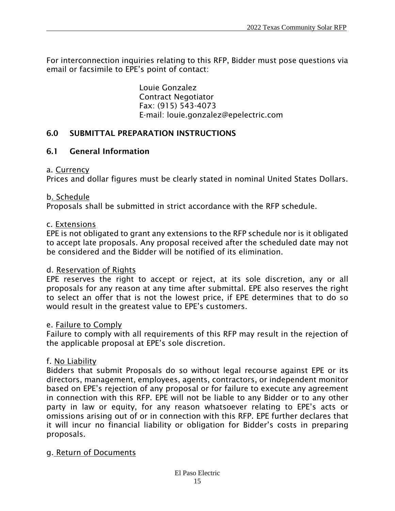For interconnection inquiries relating to this RFP, Bidder must pose questions via email or facsimile to EPE's point of contact:

> Louie Gonzalez Contract Negotiator Fax: (915) 543-4073 E-mail: louie.gonzalez@epelectric.com

#### <span id="page-14-0"></span>6.0 SUBMITTAL PREPARATION INSTRUCTIONS

#### 6.1 General Information

#### a. Currency

Prices and dollar figures must be clearly stated in nominal United States Dollars.

#### b. Schedule

Proposals shall be submitted in strict accordance with the RFP schedule.

#### c. Extensions

EPE is not obligated to grant any extensions to the RFP schedule nor is it obligated to accept late proposals. Any proposal received after the scheduled date may not be considered and the Bidder will be notified of its elimination.

#### d. Reservation of Rights

EPE reserves the right to accept or reject, at its sole discretion, any or all proposals for any reason at any time after submittal. EPE also reserves the right to select an offer that is not the lowest price, if EPE determines that to do so would result in the greatest value to EPE's customers.

#### e. Failure to Comply

Failure to comply with all requirements of this RFP may result in the rejection of the applicable proposal at EPE's sole discretion.

#### f. No Liability

Bidders that submit Proposals do so without legal recourse against EPE or its directors, management, employees, agents, contractors, or independent monitor based on EPE's rejection of any proposal or for failure to execute any agreement in connection with this RFP. EPE will not be liable to any Bidder or to any other party in law or equity, for any reason whatsoever relating to EPE's acts or omissions arising out of or in connection with this RFP. EPE further declares that it will incur no financial liability or obligation for Bidder's costs in preparing proposals.

#### g. Return of Documents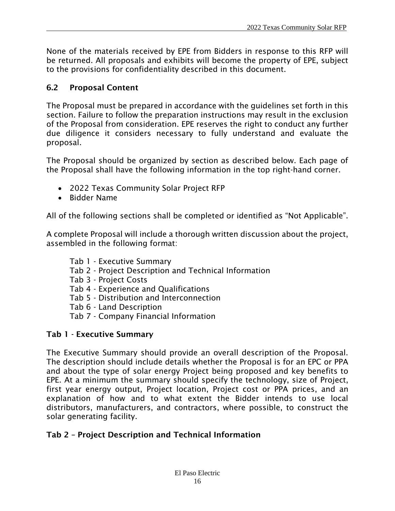None of the materials received by EPE from Bidders in response to this RFP will be returned. All proposals and exhibits will become the property of EPE, subject to the provisions for confidentiality described in this document.

### 6.2 Proposal Content

The Proposal must be prepared in accordance with the guidelines set forth in this section. Failure to follow the preparation instructions may result in the exclusion of the Proposal from consideration. EPE reserves the right to conduct any further due diligence it considers necessary to fully understand and evaluate the proposal.

The Proposal should be organized by section as described below. Each page of the Proposal shall have the following information in the top right-hand corner.

- 2022 Texas Community Solar Project RFP
- Bidder Name

All of the following sections shall be completed or identified as "Not Applicable".

A complete Proposal will include a thorough written discussion about the project, assembled in the following format:

- Tab 1 Executive Summary
- Tab 2 Project Description and Technical Information
- Tab 3 Project Costs
- Tab 4 Experience and Qualifications
- Tab 5 Distribution and Interconnection
- Tab 6 Land Description
- Tab 7 Company Financial Information

#### Tab 1 - Executive Summary

The Executive Summary should provide an overall description of the Proposal. The description should include details whether the Proposal is for an EPC or PPA and about the type of solar energy Project being proposed and key benefits to EPE. At a minimum the summary should specify the technology, size of Project, first year energy output, Project location, Project cost or PPA prices, and an explanation of how and to what extent the Bidder intends to use local distributors, manufacturers, and contractors, where possible, to construct the solar generating facility.

#### Tab 2 – Project Description and Technical Information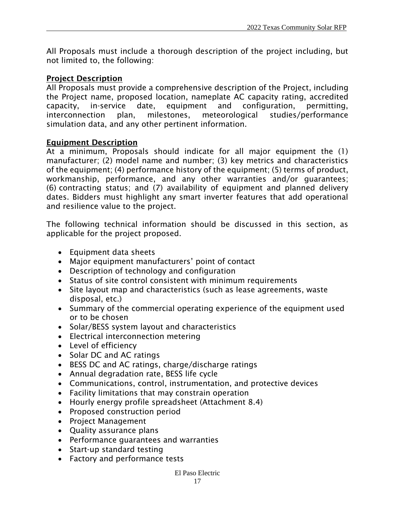All Proposals must include a thorough description of the project including, but not limited to, the following:

#### Project Description

All Proposals must provide a comprehensive description of the Project, including the Project name, proposed location, nameplate AC capacity rating, accredited capacity, in-service date, equipment and configuration, permitting, interconnection plan, milestones, meteorological studies/performance simulation data, and any other pertinent information.

#### Equipment Description

At a minimum, Proposals should indicate for all major equipment the (1) manufacturer; (2) model name and number; (3) key metrics and characteristics of the equipment; (4) performance history of the equipment; (5) terms of product, workmanship, performance, and any other warranties and/or guarantees; (6) contracting status; and (7) availability of equipment and planned delivery dates. Bidders must highlight any smart inverter features that add operational and resilience value to the project.

The following technical information should be discussed in this section, as applicable for the project proposed.

- Equipment data sheets
- Major equipment manufacturers' point of contact
- Description of technology and configuration
- Status of site control consistent with minimum requirements
- Site layout map and characteristics (such as lease agreements, waste disposal, etc.)
- Summary of the commercial operating experience of the equipment used or to be chosen
- Solar/BESS system layout and characteristics
- Electrical interconnection metering
- Level of efficiency
- Solar DC and AC ratings
- BESS DC and AC ratings, charge/discharge ratings
- Annual degradation rate, BESS life cycle
- Communications, control, instrumentation, and protective devices
- Facility limitations that may constrain operation
- Hourly energy profile spreadsheet (Attachment 8.4)
- Proposed construction period
- Project Management
- Quality assurance plans
- Performance guarantees and warranties
- Start-up standard testing
- Factory and performance tests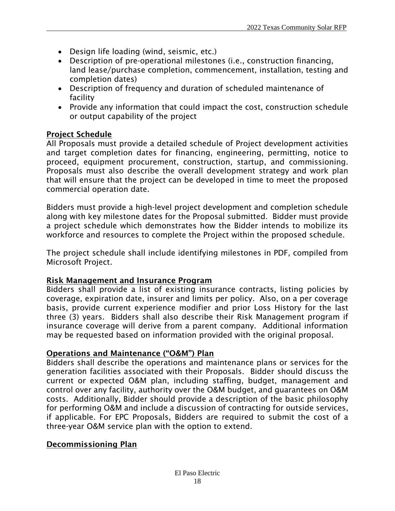- Design life loading (wind, seismic, etc.)
- Description of pre-operational milestones (i.e., construction financing, land lease/purchase completion, commencement, installation, testing and completion dates)
- Description of frequency and duration of scheduled maintenance of facility
- Provide any information that could impact the cost, construction schedule or output capability of the project

#### Project Schedule

All Proposals must provide a detailed schedule of Project development activities and target completion dates for financing, engineering, permitting, notice to proceed, equipment procurement, construction, startup, and commissioning. Proposals must also describe the overall development strategy and work plan that will ensure that the project can be developed in time to meet the proposed commercial operation date.

Bidders must provide a high-level project development and completion schedule along with key milestone dates for the Proposal submitted. Bidder must provide a project schedule which demonstrates how the Bidder intends to mobilize its workforce and resources to complete the Project within the proposed schedule.

The project schedule shall include identifying milestones in PDF, compiled from Microsoft Project.

#### Risk Management and Insurance Program

Bidders shall provide a list of existing insurance contracts, listing policies by coverage, expiration date, insurer and limits per policy. Also, on a per coverage basis, provide current experience modifier and prior Loss History for the last three (3) years. Bidders shall also describe their Risk Management program if insurance coverage will derive from a parent company. Additional information may be requested based on information provided with the original proposal.

#### Operations and Maintenance ("O&M") Plan

Bidders shall describe the operations and maintenance plans or services for the generation facilities associated with their Proposals. Bidder should discuss the current or expected O&M plan, including staffing, budget, management and control over any facility, authority over the O&M budget, and guarantees on O&M costs. Additionally, Bidder should provide a description of the basic philosophy for performing O&M and include a discussion of contracting for outside services, if applicable. For EPC Proposals, Bidders are required to submit the cost of a three-year O&M service plan with the option to extend.

#### Decommissioning Plan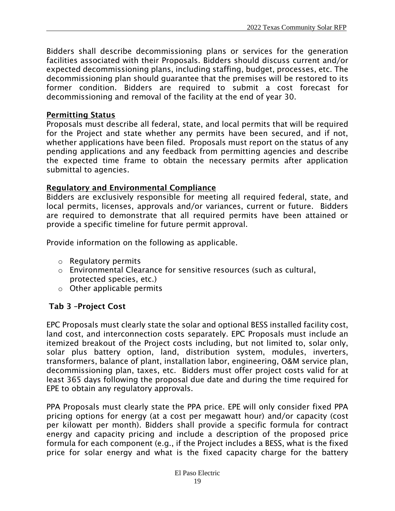Bidders shall describe decommissioning plans or services for the generation facilities associated with their Proposals. Bidders should discuss current and/or expected decommissioning plans, including staffing, budget, processes, etc. The decommissioning plan should guarantee that the premises will be restored to its former condition. Bidders are required to submit a cost forecast for decommissioning and removal of the facility at the end of year 30.

#### Permitting Status

Proposals must describe all federal, state, and local permits that will be required for the Project and state whether any permits have been secured, and if not, whether applications have been filed. Proposals must report on the status of any pending applications and any feedback from permitting agencies and describe the expected time frame to obtain the necessary permits after application submittal to agencies.

#### Regulatory and Environmental Compliance

Bidders are exclusively responsible for meeting all required federal, state, and local permits, licenses, approvals and/or variances, current or future. Bidders are required to demonstrate that all required permits have been attained or provide a specific timeline for future permit approval.

Provide information on the following as applicable.

- o Regulatory permits
- $\circ$  Environmental Clearance for sensitive resources (such as cultural, protected species, etc.)
- $\circ$  Other applicable permits

## Tab 3 –Project Cost

EPC Proposals must clearly state the solar and optional BESS installed facility cost, land cost, and interconnection costs separately. EPC Proposals must include an itemized breakout of the Project costs including, but not limited to, solar only, solar plus battery option, land, distribution system, modules, inverters, transformers, balance of plant, installation labor, engineering, O&M service plan, decommissioning plan, taxes, etc. Bidders must offer project costs valid for at least 365 days following the proposal due date and during the time required for EPE to obtain any regulatory approvals.

PPA Proposals must clearly state the PPA price. EPE will only consider fixed PPA pricing options for energy (at a cost per megawatt hour) and/or capacity (cost per kilowatt per month). Bidders shall provide a specific formula for contract energy and capacity pricing and include a description of the proposed price formula for each component (e.g., if the Project includes a BESS, what is the fixed price for solar energy and what is the fixed capacity charge for the battery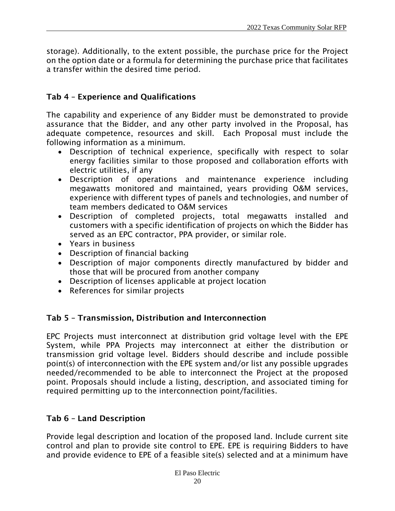storage). Additionally, to the extent possible, the purchase price for the Project on the option date or a formula for determining the purchase price that facilitates a transfer within the desired time period.

## Tab 4 – Experience and Qualifications

The capability and experience of any Bidder must be demonstrated to provide assurance that the Bidder, and any other party involved in the Proposal, has adequate competence, resources and skill. Each Proposal must include the following information as a minimum.

- Description of technical experience, specifically with respect to solar energy facilities similar to those proposed and collaboration efforts with electric utilities, if any
- Description of operations and maintenance experience including megawatts monitored and maintained, years providing O&M services, experience with different types of panels and technologies, and number of team members dedicated to O&M services
- Description of completed projects, total megawatts installed and customers with a specific identification of projects on which the Bidder has served as an EPC contractor, PPA provider, or similar role.
- Years in business
- Description of financial backing
- Description of major components directly manufactured by bidder and those that will be procured from another company
- Description of licenses applicable at project location
- References for similar projects

#### Tab 5 – Transmission, Distribution and Interconnection

EPC Projects must interconnect at distribution grid voltage level with the EPE System, while PPA Projects may interconnect at either the distribution or transmission grid voltage level. Bidders should describe and include possible point(s) of interconnection with the EPE system and/or list any possible upgrades needed/recommended to be able to interconnect the Project at the proposed point. Proposals should include a listing, description, and associated timing for required permitting up to the interconnection point/facilities.

## Tab 6 – Land Description

Provide legal description and location of the proposed land. Include current site control and plan to provide site control to EPE. EPE is requiring Bidders to have and provide evidence to EPE of a feasible site(s) selected and at a minimum have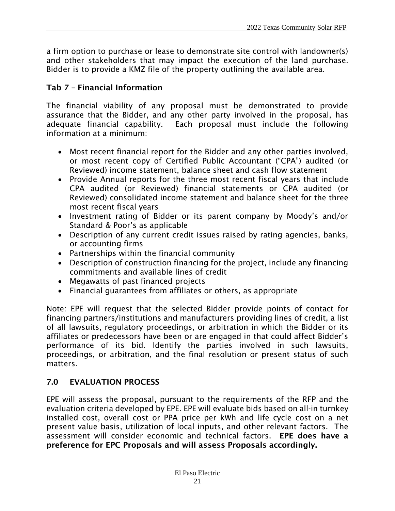a firm option to purchase or lease to demonstrate site control with landowner(s) and other stakeholders that may impact the execution of the land purchase. Bidder is to provide a KMZ file of the property outlining the available area.

## Tab 7 – Financial Information

The financial viability of any proposal must be demonstrated to provide assurance that the Bidder, and any other party involved in the proposal, has adequate financial capability. Each proposal must include the following information at a minimum:

- Most recent financial report for the Bidder and any other parties involved, or most recent copy of Certified Public Accountant ("CPA") audited (or Reviewed) income statement, balance sheet and cash flow statement
- Provide Annual reports for the three most recent fiscal years that include CPA audited (or Reviewed) financial statements or CPA audited (or Reviewed) consolidated income statement and balance sheet for the three most recent fiscal years
- Investment rating of Bidder or its parent company by Moody's and/or Standard & Poor's as applicable
- Description of any current credit issues raised by rating agencies, banks, or accounting firms
- Partnerships within the financial community
- Description of construction financing for the project, include any financing commitments and available lines of credit
- Megawatts of past financed projects
- Financial guarantees from affiliates or others, as appropriate

Note: EPE will request that the selected Bidder provide points of contact for financing partners/institutions and manufacturers providing lines of credit, a list of all lawsuits, regulatory proceedings, or arbitration in which the Bidder or its affiliates or predecessors have been or are engaged in that could affect Bidder's performance of its bid. Identify the parties involved in such lawsuits, proceedings, or arbitration, and the final resolution or present status of such matters.

## <span id="page-20-0"></span>7.0 EVALUATION PROCESS

EPE will assess the proposal, pursuant to the requirements of the RFP and the evaluation criteria developed by EPE. EPE will evaluate bids based on all-in turnkey installed cost, overall cost or PPA price per kWh and life cycle cost on a net present value basis, utilization of local inputs, and other relevant factors. The assessment will consider economic and technical factors. EPE does have a preference for EPC Proposals and will assess Proposals accordingly.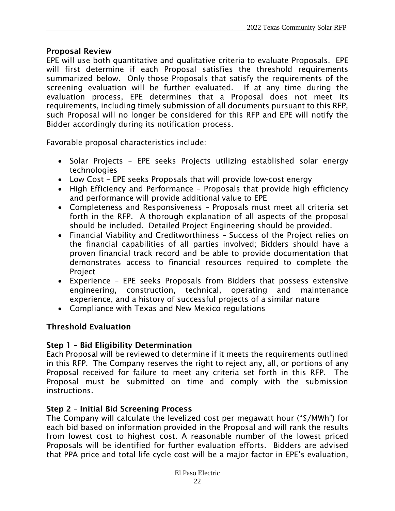#### Proposal Review

EPE will use both quantitative and qualitative criteria to evaluate Proposals. EPE will first determine if each Proposal satisfies the threshold requirements summarized below. Only those Proposals that satisfy the requirements of the screening evaluation will be further evaluated. If at any time during the evaluation process, EPE determines that a Proposal does not meet its requirements, including timely submission of all documents pursuant to this RFP, such Proposal will no longer be considered for this RFP and EPE will notify the Bidder accordingly during its notification process.

Favorable proposal characteristics include:

- Solar Projects EPE seeks Projects utilizing established solar energy technologies
- Low Cost EPE seeks Proposals that will provide low-cost energy
- High Efficiency and Performance Proposals that provide high efficiency and performance will provide additional value to EPE
- Completeness and Responsiveness Proposals must meet all criteria set forth in the RFP. A thorough explanation of all aspects of the proposal should be included. Detailed Project Engineering should be provided.
- Financial Viability and Creditworthiness Success of the Project relies on the financial capabilities of all parties involved; Bidders should have a proven financial track record and be able to provide documentation that demonstrates access to financial resources required to complete the Project
- Experience EPE seeks Proposals from Bidders that possess extensive engineering, construction, technical, operating and maintenance experience, and a history of successful projects of a similar nature
- Compliance with Texas and New Mexico regulations

## Threshold Evaluation

## Step 1 – Bid Eligibility Determination

Each Proposal will be reviewed to determine if it meets the requirements outlined in this RFP. The Company reserves the right to reject any, all, or portions of any Proposal received for failure to meet any criteria set forth in this RFP. The Proposal must be submitted on time and comply with the submission instructions.

#### Step 2 – Initial Bid Screening Process

The Company will calculate the levelized cost per megawatt hour ("\$/MWh") for each bid based on information provided in the Proposal and will rank the results from lowest cost to highest cost. A reasonable number of the lowest priced Proposals will be identified for further evaluation efforts. Bidders are advised that PPA price and total life cycle cost will be a major factor in EPE's evaluation,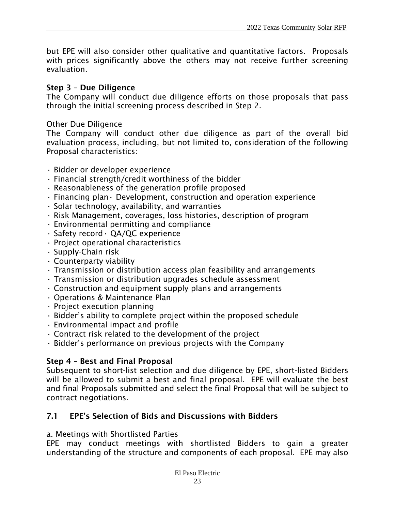but EPE will also consider other qualitative and quantitative factors. Proposals with prices significantly above the others may not receive further screening evaluation.

#### Step 3 – Due Diligence

The Company will conduct due diligence efforts on those proposals that pass through the initial screening process described in Step 2.

#### Other Due Diligence

The Company will conduct other due diligence as part of the overall bid evaluation process, including, but not limited to, consideration of the following Proposal characteristics:

- Bidder or developer experience
- Financial strength/credit worthiness of the bidder
- Reasonableness of the generation profile proposed
- $\cdot$  Financing plan $\cdot$  Development, construction and operation experience
- Solar technology, availability, and warranties
- Risk Management, coverages, loss histories, description of program
- Environmental permitting and compliance
- Safety record• QA/QC experience
- Project operational characteristics
- Supply-Chain risk
- Counterparty viability
- Transmission or distribution access plan feasibility and arrangements
- Transmission or distribution upgrades schedule assessment
- Construction and equipment supply plans and arrangements
- Operations & Maintenance Plan
- Project execution planning
- Bidder's ability to complete project within the proposed schedule
- Environmental impact and profile
- Contract risk related to the development of the project
- Bidder's performance on previous projects with the Company

#### Step 4 – Best and Final Proposal

Subsequent to short-list selection and due diligence by EPE, short-listed Bidders will be allowed to submit a best and final proposal. EPE will evaluate the best and final Proposals submitted and select the final Proposal that will be subject to contract negotiations.

#### <span id="page-22-0"></span>7.1 EPE's Selection of Bids and Discussions with Bidders

#### a. Meetings with Shortlisted Parties

EPE may conduct meetings with shortlisted Bidders to gain a greater understanding of the structure and components of each proposal. EPE may also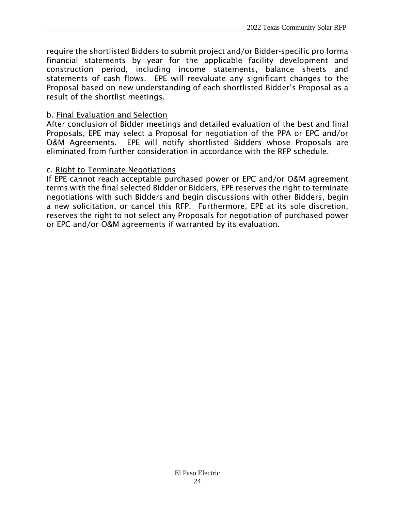require the shortlisted Bidders to submit project and/or Bidder-specific pro forma financial statements by year for the applicable facility development and construction period, including income statements, balance sheets and statements of cash flows. EPE will reevaluate any significant changes to the Proposal based on new understanding of each shortlisted Bidder's Proposal as a result of the shortlist meetings.

#### b. Final Evaluation and Selection

After conclusion of Bidder meetings and detailed evaluation of the best and final Proposals, EPE may select a Proposal for negotiation of the PPA or EPC and/or O&M Agreements. EPE will notify shortlisted Bidders whose Proposals are eliminated from further consideration in accordance with the RFP schedule.

#### c. Right to Terminate Negotiations

If EPE cannot reach acceptable purchased power or EPC and/or O&M agreement terms with the final selected Bidder or Bidders, EPE reserves the right to terminate negotiations with such Bidders and begin discussions with other Bidders, begin a new solicitation, or cancel this RFP. Furthermore, EPE at its sole discretion, reserves the right to not select any Proposals for negotiation of purchased power or EPC and/or O&M agreements if warranted by its evaluation.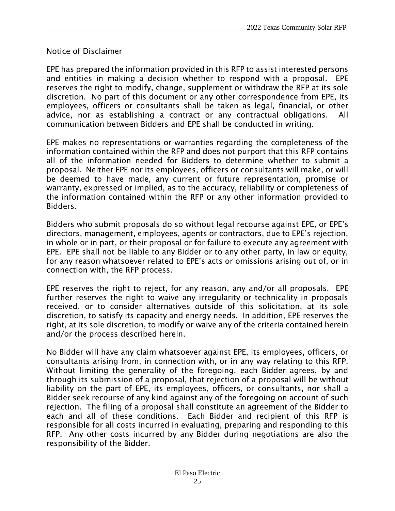#### Notice of Disclaimer

EPE has prepared the information provided in this RFP to assist interested persons and entities in making a decision whether to respond with a proposal. EPE reserves the right to modify, change, supplement or withdraw the RFP at its sole discretion. No part of this document or any other correspondence from EPE, its employees, officers or consultants shall be taken as legal, financial, or other advice, nor as establishing a contract or any contractual obligations. All communication between Bidders and EPE shall be conducted in writing.

EPE makes no representations or warranties regarding the completeness of the information contained within the RFP and does not purport that this RFP contains all of the information needed for Bidders to determine whether to submit a proposal. Neither EPE nor its employees, officers or consultants will make, or will be deemed to have made, any current or future representation, promise or warranty, expressed or implied, as to the accuracy, reliability or completeness of the information contained within the RFP or any other information provided to Bidders.

Bidders who submit proposals do so without legal recourse against EPE, or EPE's directors, management, employees, agents or contractors, due to EPE's rejection, in whole or in part, or their proposal or for failure to execute any agreement with EPE. EPE shall not be liable to any Bidder or to any other party, in law or equity, for any reason whatsoever related to EPE's acts or omissions arising out of, or in connection with, the RFP process.

EPE reserves the right to reject, for any reason, any and/or all proposals. EPE further reserves the right to waive any irregularity or technicality in proposals received, or to consider alternatives outside of this solicitation, at its sole discretion, to satisfy its capacity and energy needs. In addition, EPE reserves the right, at its sole discretion, to modify or waive any of the criteria contained herein and/or the process described herein.

No Bidder will have any claim whatsoever against EPE, its employees, officers, or consultants arising from, in connection with, or in any way relating to this RFP. Without limiting the generality of the foregoing, each Bidder agrees, by and through its submission of a proposal, that rejection of a proposal will be without liability on the part of EPE, its employees, officers, or consultants, nor shall a Bidder seek recourse of any kind against any of the foregoing on account of such rejection. The filing of a proposal shall constitute an agreement of the Bidder to each and all of these conditions. Each Bidder and recipient of this RFP is responsible for all costs incurred in evaluating, preparing and responding to this RFP. Any other costs incurred by any Bidder during negotiations are also the responsibility of the Bidder.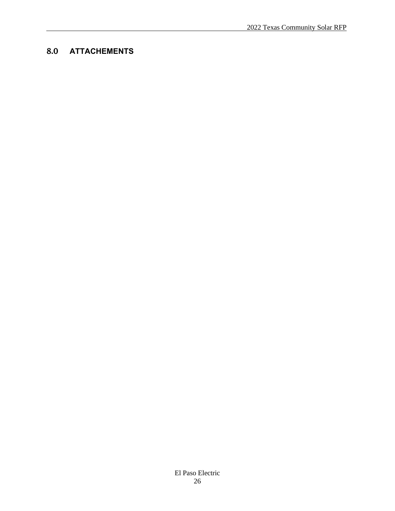## 8.0 **ATTACHEMENTS**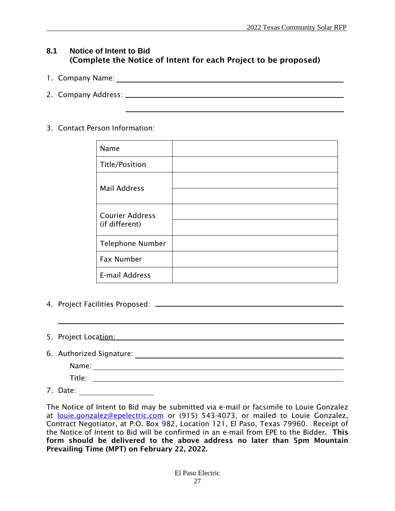#### **8.1 Notice of Intent to Bid** (Complete the Notice of Intent for each Project to be proposed)

- 1. Company Name:
- 2. Company Address:

#### 3. Contact Person Information:

| Name                    |  |
|-------------------------|--|
| <b>Title/Position</b>   |  |
| <b>Mail Address</b>     |  |
|                         |  |
| <b>Courier Address</b>  |  |
| (if different)          |  |
| <b>Telephone Number</b> |  |
| Fax Number              |  |
| E-mail Address          |  |

- 4. Project Facilities Proposed:
- 5. Project Location:
- 6. Authorized Signature:
	- Name:

Title:

7. Date:

The Notice of Intent to Bid may be submitted via e-mail or facsimile to Louie Gonzalez at [louie.gonzalez@epelectric.com](https://livelink/contentserverdav/nodes/102744859/louie.gonzalez%40epelectric.com) or (915) 543-4073, or mailed to Louie Gonzalez, Contract Negotiator, at P.O. Box 982, Location 121, El Paso, Texas 79960. Receipt of the Notice of Intent to Bid will be confirmed in an e-mail from EPE to the Bidder. This form should be delivered to the above address no later than 5pm Mountain Prevailing Time (MPT) on February 22, 2022.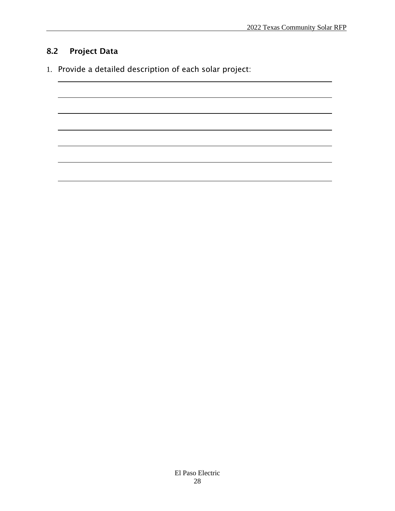## 8.2 Project Data

1. Provide a detailed description of each solar project: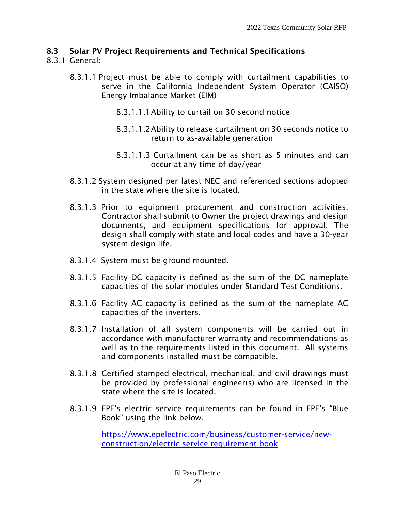### 8.3 Solar PV Project Requirements and Technical Specifications

#### 8.3.1 General:

- 8.3.1.1 Project must be able to comply with curtailment capabilities to serve in the California Independent System Operator (CAISO) Energy Imbalance Market (EIM)
	- 8.3.1.1.1Ability to curtail on 30 second notice
	- 8.3.1.1.2Ability to release curtailment on 30 seconds notice to return to as-available generation
	- 8.3.1.1.3 Curtailment can be as short as 5 minutes and can occur at any time of day/year
- 8.3.1.2 System designed per latest NEC and referenced sections adopted in the state where the site is located.
- 8.3.1.3 Prior to equipment procurement and construction activities, Contractor shall submit to Owner the project drawings and design documents, and equipment specifications for approval. The design shall comply with state and local codes and have a 30-year system design life.
- 8.3.1.4 System must be ground mounted.
- 8.3.1.5 Facility DC capacity is defined as the sum of the DC nameplate capacities of the solar modules under Standard Test Conditions.
- 8.3.1.6 Facility AC capacity is defined as the sum of the nameplate AC capacities of the inverters.
- 8.3.1.7 Installation of all system components will be carried out in accordance with manufacturer warranty and recommendations as well as to the requirements listed in this document. All systems and components installed must be compatible.
- 8.3.1.8 Certified stamped electrical, mechanical, and civil drawings must be provided by professional engineer(s) who are licensed in the state where the site is located.
- 8.3.1.9 EPE's electric service requirements can be found in EPE's "Blue Book" using the link below.

[https://www.epelectric.com/business/customer-service/new](https://www.epelectric.com/business/customer-service/new-construction/electric-service-requirement-book)[construction/electric-service-requirement-book](https://www.epelectric.com/business/customer-service/new-construction/electric-service-requirement-book)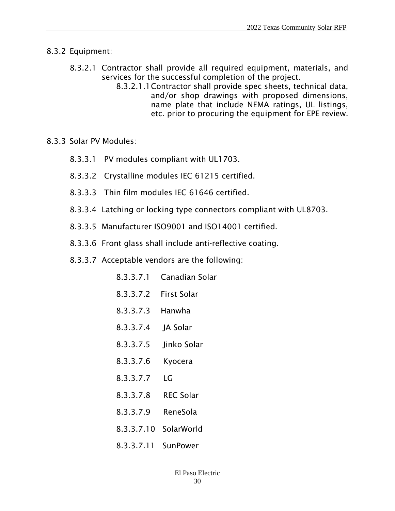#### 8.3.2 Equipment:

- 8.3.2.1 Contractor shall provide all required equipment, materials, and services for the successful completion of the project.
	- 8.3.2.1.1Contractor shall provide spec sheets, technical data, and/or shop drawings with proposed dimensions, name plate that include NEMA ratings, UL listings, etc. prior to procuring the equipment for EPE review.
- 8.3.3 Solar PV Modules:
	- 8.3.3.1 PV modules compliant with UL1703.
	- 8.3.3.2 Crystalline modules IEC 61215 certified.
	- 8.3.3.3 Thin film modules IEC 61646 certified.
	- 8.3.3.4 Latching or locking type connectors compliant with UL8703.
	- 8.3.3.5 Manufacturer ISO9001 and ISO14001 certified.
	- 8.3.3.6 Front glass shall include anti-reflective coating.
	- 8.3.3.7 Acceptable vendors are the following:
		- 8.3.3.7.1 Canadian Solar
		- 8.3.3.7.2 First Solar
		- 8.3.3.7.3 Hanwha
		- 8.3.3.7.4 JA Solar
		- 8.3.3.7.5 Jinko Solar
		- 8.3.3.7.6 Kyocera
		- 8.3.3.7.7 LG
		- 8.3.3.7.8 REC Solar
		- 8.3.3.7.9 ReneSola
		- 8.3.3.7.10 SolarWorld
		- 8.3.3.7.11 SunPower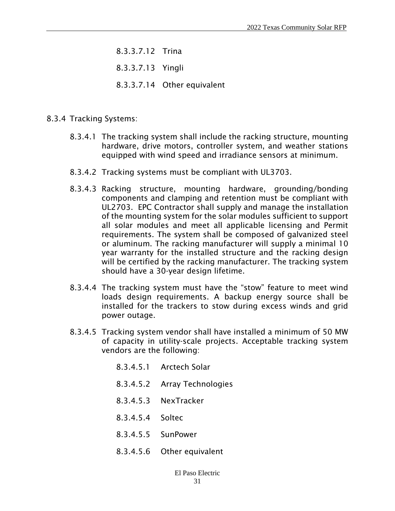- 8.3.3.7.12 Trina
- 8.3.3.7.13 Yingli
- 8.3.3.7.14 Other equivalent
- 8.3.4 Tracking Systems:
	- 8.3.4.1 The tracking system shall include the racking structure, mounting hardware, drive motors, controller system, and weather stations equipped with wind speed and irradiance sensors at minimum.
	- 8.3.4.2 Tracking systems must be compliant with UL3703.
	- 8.3.4.3 Racking structure, mounting hardware, grounding/bonding components and clamping and retention must be compliant with UL2703. EPC Contractor shall supply and manage the installation of the mounting system for the solar modules sufficient to support all solar modules and meet all applicable licensing and Permit requirements. The system shall be composed of galvanized steel or aluminum. The racking manufacturer will supply a minimal 10 year warranty for the installed structure and the racking design will be certified by the racking manufacturer. The tracking system should have a 30-year design lifetime.
	- 8.3.4.4 The tracking system must have the "stow" feature to meet wind loads design requirements. A backup energy source shall be installed for the trackers to stow during excess winds and grid power outage.
	- 8.3.4.5 Tracking system vendor shall have installed a minimum of 50 MW of capacity in utility-scale projects. Acceptable tracking system vendors are the following:
		- 8.3.4.5.1 Arctech Solar
		- 8.3.4.5.2 Array Technologies
		- 8.3.4.5.3 NexTracker
		- 8.3.4.5.4 Soltec
		- 8.3.4.5.5 SunPower
		- 8.3.4.5.6 Other equivalent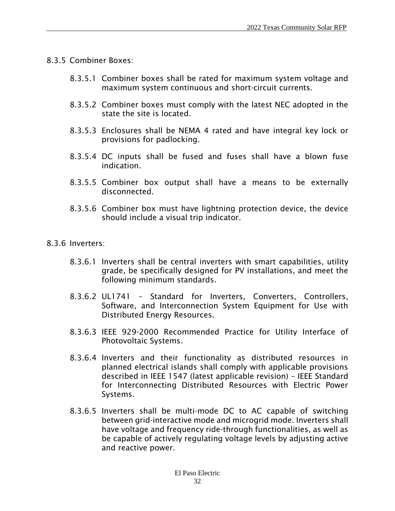- 8.3.5 Combiner Boxes:
	- 8.3.5.1 Combiner boxes shall be rated for maximum system voltage and maximum system continuous and short-circuit currents.
	- 8.3.5.2 Combiner boxes must comply with the latest NEC adopted in the state the site is located.
	- 8.3.5.3 Enclosures shall be NEMA 4 rated and have integral key lock or provisions for padlocking.
	- 8.3.5.4 DC inputs shall be fused and fuses shall have a blown fuse indication.
	- 8.3.5.5 Combiner box output shall have a means to be externally disconnected.
	- 8.3.5.6 Combiner box must have lightning protection device, the device should include a visual trip indicator.
- 8.3.6 Inverters:
	- 8.3.6.1 Inverters shall be central inverters with smart capabilities, utility grade, be specifically designed for PV installations, and meet the following minimum standards.
	- 8.3.6.2 UL1741 Standard for Inverters, Converters, Controllers, Software, and Interconnection System Equipment for Use with Distributed Energy Resources.
	- 8.3.6.3 IEEE 929-2000 Recommended Practice for Utility Interface of Photovoltaic Systems.
	- 8.3.6.4 Inverters and their functionality as distributed resources in planned electrical islands shall comply with applicable provisions described in IEEE 1547 (latest applicable revision) – IEEE Standard for Interconnecting Distributed Resources with Electric Power Systems.
	- 8.3.6.5 Inverters shall be multi-mode DC to AC capable of switching between grid-interactive mode and microgrid mode. Inverters shall have voltage and frequency ride-through functionalities, as well as be capable of actively regulating voltage levels by adjusting active and reactive power.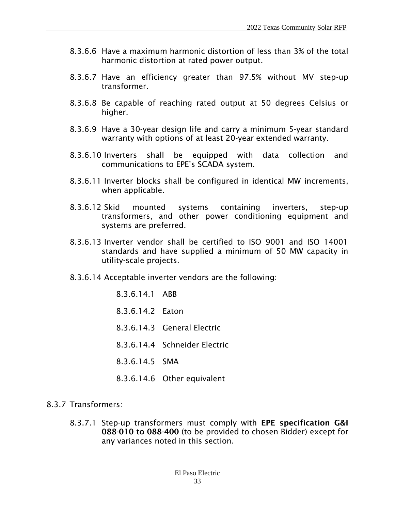- 8.3.6.6 Have a maximum harmonic distortion of less than 3% of the total harmonic distortion at rated power output.
- 8.3.6.7 Have an efficiency greater than 97.5% without MV step-up transformer.
- 8.3.6.8 Be capable of reaching rated output at 50 degrees Celsius or higher.
- 8.3.6.9 Have a 30-year design life and carry a minimum 5-year standard warranty with options of at least 20-year extended warranty.
- 8.3.6.10 Inverters shall be equipped with data collection and communications to EPE's SCADA system.
- 8.3.6.11 Inverter blocks shall be configured in identical MW increments, when applicable.
- 8.3.6.12 Skid mounted systems containing inverters, step-up transformers, and other power conditioning equipment and systems are preferred.
- 8.3.6.13 Inverter vendor shall be certified to ISO 9001 and ISO 14001 standards and have supplied a minimum of 50 MW capacity in utility-scale projects.
- 8.3.6.14 Acceptable inverter vendors are the following:
	- 8.3.6.14.1 ABB 8.3.6.14.2 Eaton 8.3.6.14.3 General Electric 8.3.6.14.4 Schneider Electric 8.3.6.14.5 SMA 8.3.6.14.6 Other equivalent
- 8.3.7 Transformers:
	- 8.3.7.1 Step-up transformers must comply with EPE specification G&I 088-010 to 088-400 (to be provided to chosen Bidder) except for any variances noted in this section.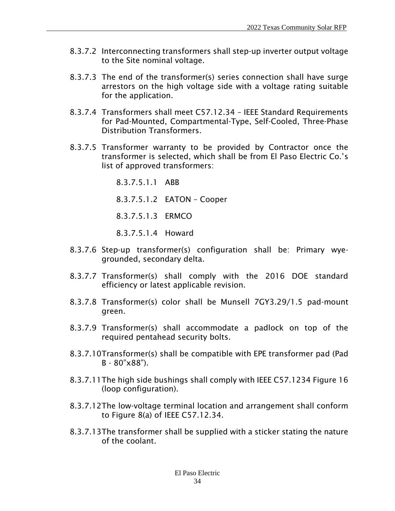- 8.3.7.2 Interconnecting transformers shall step-up inverter output voltage to the Site nominal voltage.
- 8.3.7.3 The end of the transformer(s) series connection shall have surge arrestors on the high voltage side with a voltage rating suitable for the application.
- 8.3.7.4 Transformers shall meet C57.12.34 IEEE Standard Requirements for Pad-Mounted, Compartmental-Type, Self-Cooled, Three-Phase Distribution Transformers.
- 8.3.7.5 Transformer warranty to be provided by Contractor once the transformer is selected, which shall be from El Paso Electric Co.'s list of approved transformers:
	- 8.3.7.5.1.1 ABB 8.3.7.5.1.2 EATON – Cooper 8.3.7.5.1.3 ERMCO 8.3.7.5.1.4 Howard
- 8.3.7.6 Step-up transformer(s) configuration shall be: Primary wyegrounded, secondary delta.
- 8.3.7.7 Transformer(s) shall comply with the 2016 DOE standard efficiency or latest applicable revision.
- 8.3.7.8 Transformer(s) color shall be Munsell 7GY3.29/1.5 pad-mount green.
- 8.3.7.9 Transformer(s) shall accommodate a padlock on top of the required pentahead security bolts.
- 8.3.7.10Transformer(s) shall be compatible with EPE transformer pad (Pad B - 80"x88").
- 8.3.7.11The high side bushings shall comply with IEEE C57.1234 Figure 16 (loop configuration).
- 8.3.7.12The low-voltage terminal location and arrangement shall conform to Figure 8(a) of IEEE C57.12.34.
- 8.3.7.13The transformer shall be supplied with a sticker stating the nature of the coolant.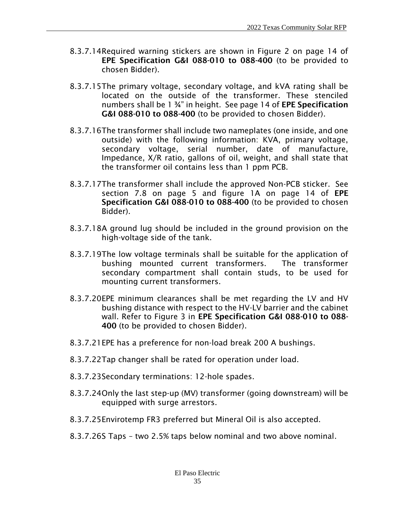- 8.3.7.14Required warning stickers are shown in Figure 2 on page 14 of EPE Specification G&I 088-010 to 088-400 (to be provided to chosen Bidder).
- 8.3.7.15The primary voltage, secondary voltage, and kVA rating shall be located on the outside of the transformer. These stenciled numbers shall be 1 ¾" in height. See page 14 of EPE Specification G&I 088-010 to 088-400 (to be provided to chosen Bidder).
- 8.3.7.16The transformer shall include two nameplates (one inside, and one outside) with the following information: KVA, primary voltage, secondary voltage, serial number, date of manufacture, Impedance, X/R ratio, gallons of oil, weight, and shall state that the transformer oil contains less than 1 ppm PCB.
- 8.3.7.17The transformer shall include the approved Non-PCB sticker. See section 7.8 on page 5 and figure 1A on page 14 of EPE Specification G&I 088-010 to 088-400 (to be provided to chosen Bidder).
- 8.3.7.18A ground lug should be included in the ground provision on the high-voltage side of the tank.
- 8.3.7.19The low voltage terminals shall be suitable for the application of bushing mounted current transformers. The transformer secondary compartment shall contain studs, to be used for mounting current transformers.
- 8.3.7.20EPE minimum clearances shall be met regarding the LV and HV bushing distance with respect to the HV-LV barrier and the cabinet wall. Refer to Figure 3 in EPE Specification G&I 088-010 to 088- 400 (to be provided to chosen Bidder).
- 8.3.7.21EPE has a preference for non-load break 200 A bushings.
- 8.3.7.22Tap changer shall be rated for operation under load.
- 8.3.7.23Secondary terminations: 12-hole spades.
- 8.3.7.24Only the last step-up (MV) transformer (going downstream) will be equipped with surge arrestors.
- 8.3.7.25Envirotemp FR3 preferred but Mineral Oil is also accepted.
- 8.3.7.26S Taps two 2.5% taps below nominal and two above nominal.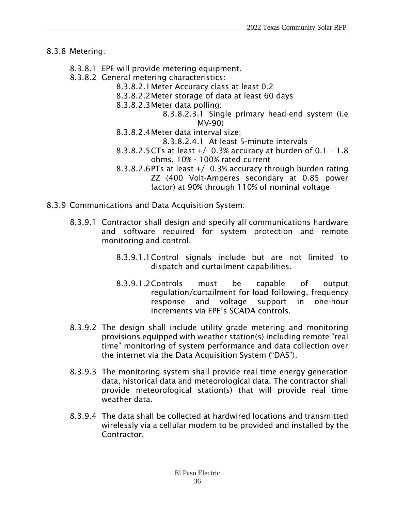#### 8.3.8 Metering:

- 8.3.8.1 EPE will provide metering equipment.
- 8.3.8.2 General metering characteristics:
	- 8.3.8.2.1Meter Accuracy class at least 0.2
	- 8.3.8.2.2Meter storage of data at least 60 days
	- 8.3.8.2.3Meter data polling:
		- 8.3.8.2.3.1 Single primary head-end system (i.e MV-90)
	- 8.3.8.2.4Meter data interval size:
		- 8.3.8.2.4.1 At least 5-minute intervals
	- 8.3.8.2.5CTs at least +/- 0.3% accuracy at burden of 0.1 1.8 ohms, 10% - 100% rated current
	- 8.3.8.2.6PTs at least +/- 0.3% accuracy through burden rating ZZ (400 Volt-Amperes secondary at 0.85 power factor) at 90% through 110% of nominal voltage
- 8.3.9 Communications and Data Acquisition System:
	- 8.3.9.1 Contractor shall design and specify all communications hardware and software required for system protection and remote monitoring and control.
		- 8.3.9.1.1Control signals include but are not limited to dispatch and curtailment capabilities.
		- 8.3.9.1.2Controls must be capable of output regulation/curtailment for load following, frequency response and voltage support in one-hour increments via EPE's SCADA controls.
	- 8.3.9.2 The design shall include utility grade metering and monitoring provisions equipped with weather station(s) including remote "real time" monitoring of system performance and data collection over the internet via the Data Acquisition System ("DAS").
	- 8.3.9.3 The monitoring system shall provide real time energy generation data, historical data and meteorological data. The contractor shall provide meteorological station(s) that will provide real time weather data.
	- 8.3.9.4 The data shall be collected at hardwired locations and transmitted wirelessly via a cellular modem to be provided and installed by the **Contractor**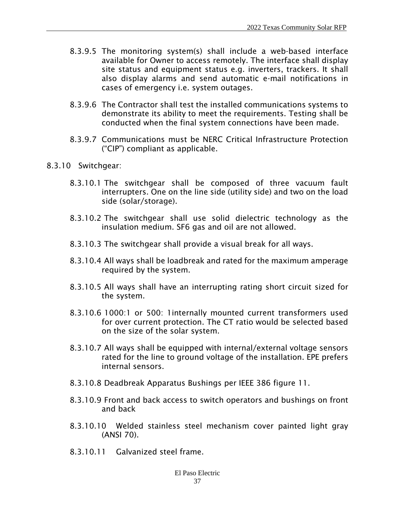- 8.3.9.5 The monitoring system(s) shall include a web-based interface available for Owner to access remotely. The interface shall display site status and equipment status e.g. inverters, trackers. It shall also display alarms and send automatic e-mail notifications in cases of emergency i.e. system outages.
- 8.3.9.6 The Contractor shall test the installed communications systems to demonstrate its ability to meet the requirements. Testing shall be conducted when the final system connections have been made.
- 8.3.9.7 Communications must be NERC Critical Infrastructure Protection ("CIP") compliant as applicable.
- 8.3.10 Switchgear:
	- 8.3.10.1 The switchgear shall be composed of three vacuum fault interrupters. One on the line side (utility side) and two on the load side (solar/storage).
	- 8.3.10.2 The switchgear shall use solid dielectric technology as the insulation medium. SF6 gas and oil are not allowed.
	- 8.3.10.3 The switchgear shall provide a visual break for all ways.
	- 8.3.10.4 All ways shall be loadbreak and rated for the maximum amperage required by the system.
	- 8.3.10.5 All ways shall have an interrupting rating short circuit sized for the system.
	- 8.3.10.6 1000:1 or 500: 1internally mounted current transformers used for over current protection. The CT ratio would be selected based on the size of the solar system.
	- 8.3.10.7 All ways shall be equipped with internal/external voltage sensors rated for the line to ground voltage of the installation. EPE prefers internal sensors.
	- 8.3.10.8 Deadbreak Apparatus Bushings per IEEE 386 figure 11.
	- 8.3.10.9 Front and back access to switch operators and bushings on front and back
	- 8.3.10.10 Welded stainless steel mechanism cover painted light gray (ANSI 70).
	- 8.3.10.11 Galvanized steel frame.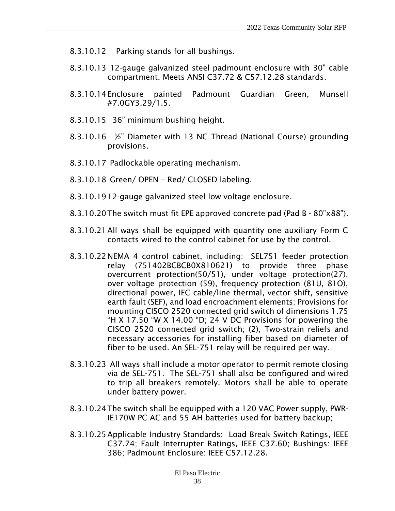- 8.3.10.12 Parking stands for all bushings.
- 8.3.10.13 12-gauge galvanized steel padmount enclosure with 30" cable compartment. Meets ANSI C37.72 & C57.12.28 standards.
- 8.3.10.14Enclosure painted Padmount Guardian Green, Munsell #7.0GY3.29/1.5.
- 8.3.10.15 36" minimum bushing height.
- 8.3.10.16 ½" Diameter with 13 NC Thread (National Course) grounding provisions.
- 8.3.10.17 Padlockable operating mechanism.
- 8.3.10.18 Green/ OPEN Red/ CLOSED labeling.
- 8.3.10.1912-gauge galvanized steel low voltage enclosure.
- 8.3.10.20The switch must fit EPE approved concrete pad (Pad B 80"x88").
- 8.3.10.21All ways shall be equipped with quantity one auxiliary Form C contacts wired to the control cabinet for use by the control.
- 8.3.10.22NEMA 4 control cabinet, including: SEL751 feeder protection relay (751402BCBCB0X810621) to provide three phase overcurrent protection(50/51), under voltage protection(27), over voltage protection (59), frequency protection (81U, 81O), directional power, IEC cable/line thermal, vector shift, sensitive earth fault (SEF), and load encroachment elements; Provisions for mounting CISCO 2520 connected grid switch of dimensions 1.75 "H X 17.50 "W X 14.00 "D; 24 V DC Provisions for powering the CISCO 2520 connected grid switch; (2), Two-strain reliefs and necessary accessories for installing fiber based on diameter of fiber to be used. An SEL-751 relay will be required per way.
- 8.3.10.23 All ways shall include a motor operator to permit remote closing via de SEL-751. The SEL-751 shall also be configured and wired to trip all breakers remotely. Motors shall be able to operate under battery power.
- 8.3.10.24The switch shall be equipped with a 120 VAC Power supply, PWR-IE170W-PC-AC and 55 AH batteries used for battery backup;
- 8.3.10.25Applicable Industry Standards: Load Break Switch Ratings, IEEE C37.74; Fault Interrupter Ratings, IEEE C37.60; Bushings: IEEE 386; Padmount Enclosure: IEEE C57.12.28.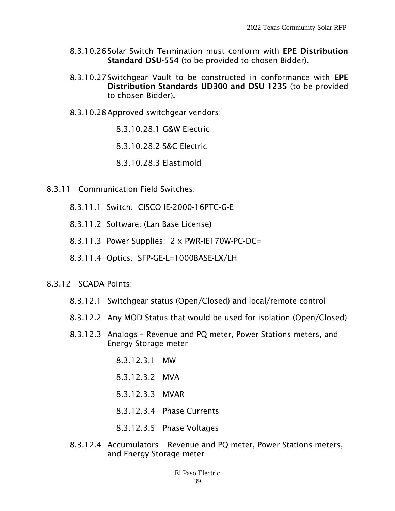- 8.3.10.26Solar Switch Termination must conform with EPE Distribution Standard DSU-554 (to be provided to chosen Bidder).
- 8.3.10.27Switchgear Vault to be constructed in conformance with EPE Distribution Standards UD300 and DSU 1235 (to be provided to chosen Bidder).
- 8.3.10.28Approved switchgear vendors:
	- 8.3.10.28.1 G&W Electric
	- 8.3.10.28.2 S&C Electric
	- 8.3.10.28.3 Elastimold
- 8.3.11 Communication Field Switches:
	- 8.3.11.1 Switch: CISCO IE-2000-16PTC-G-E
	- 8.3.11.2 Software: (Lan Base License)
	- 8.3.11.3 Power Supplies: 2 x PWR-IE170W-PC-DC=
	- 8.3.11.4 Optics: SFP-GE-L=1000BASE-LX/LH
- 8.3.12 SCADA Points:
	- 8.3.12.1 Switchgear status (Open/Closed) and local/remote control
	- 8.3.12.2 Any MOD Status that would be used for isolation (Open/Closed)
	- 8.3.12.3 Analogs Revenue and PQ meter, Power Stations meters, and Energy Storage meter
		- 8.3.12.3.1 MW
		- 8.3.12.3.2 MVA
		- 8.3.12.3.3 MVAR
		- 8.3.12.3.4 Phase Currents
		- 8.3.12.3.5 Phase Voltages
	- 8.3.12.4 Accumulators Revenue and PQ meter, Power Stations meters, and Energy Storage meter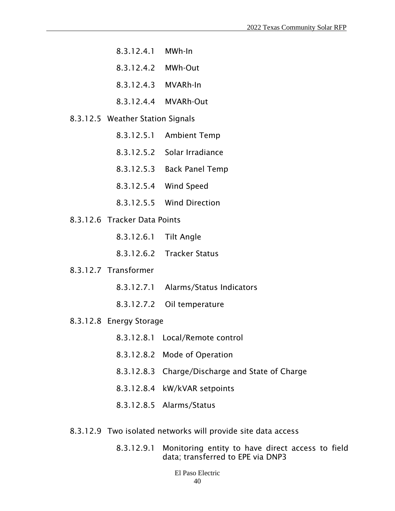- 8.3.12.4.1 MWh-In
- 8.3.12.4.2 MWh-Out
- 8.3.12.4.3 MVARh-In
- 8.3.12.4.4 MVARh-Out
- 8.3.12.5 Weather Station Signals
	- 8.3.12.5.1 Ambient Temp
	- 8.3.12.5.2 Solar Irradiance
	- 8.3.12.5.3 Back Panel Temp
	- 8.3.12.5.4 Wind Speed
	- 8.3.12.5.5 Wind Direction
- 8.3.12.6 Tracker Data Points
	- 8.3.12.6.1 Tilt Angle
	- 8.3.12.6.2 Tracker Status
- 8.3.12.7 Transformer
	- 8.3.12.7.1 Alarms/Status Indicators
	- 8.3.12.7.2 Oil temperature
- 8.3.12.8 Energy Storage
	- 8.3.12.8.1 Local/Remote control
	- 8.3.12.8.2 Mode of Operation
	- 8.3.12.8.3 Charge/Discharge and State of Charge
	- 8.3.12.8.4 kW/kVAR setpoints
	- 8.3.12.8.5 Alarms/Status
- 8.3.12.9 Two isolated networks will provide site data access
	- 8.3.12.9.1 Monitoring entity to have direct access to field data; transferred to EPE via DNP3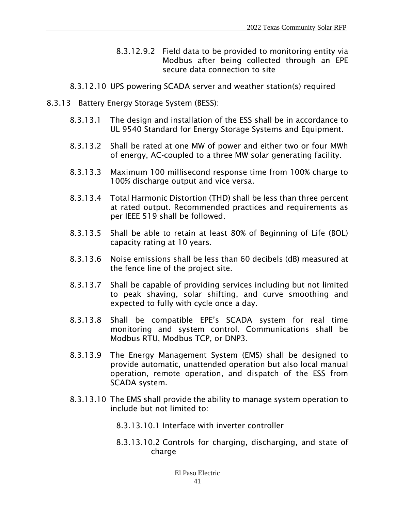- 8.3.12.9.2 Field data to be provided to monitoring entity via Modbus after being collected through an EPE secure data connection to site
- 8.3.12.10 UPS powering SCADA server and weather station(s) required
- 8.3.13 Battery Energy Storage System (BESS):
	- 8.3.13.1 The design and installation of the ESS shall be in accordance to UL 9540 Standard for Energy Storage Systems and Equipment.
	- 8.3.13.2 Shall be rated at one MW of power and either two or four MWh of energy, AC-coupled to a three MW solar generating facility.
	- 8.3.13.3 Maximum 100 millisecond response time from 100% charge to 100% discharge output and vice versa.
	- 8.3.13.4 Total Harmonic Distortion (THD) shall be less than three percent at rated output. Recommended practices and requirements as per IEEE 519 shall be followed.
	- 8.3.13.5 Shall be able to retain at least 80% of Beginning of Life (BOL) capacity rating at 10 years.
	- 8.3.13.6 Noise emissions shall be less than 60 decibels (dB) measured at the fence line of the project site.
	- 8.3.13.7 Shall be capable of providing services including but not limited to peak shaving, solar shifting, and curve smoothing and expected to fully with cycle once a day.
	- 8.3.13.8 Shall be compatible EPE's SCADA system for real time monitoring and system control. Communications shall be Modbus RTU, Modbus TCP, or DNP3.
	- 8.3.13.9 The Energy Management System (EMS) shall be designed to provide automatic, unattended operation but also local manual operation, remote operation, and dispatch of the ESS from SCADA system.
	- 8.3.13.10 The EMS shall provide the ability to manage system operation to include but not limited to:
		- 8.3.13.10.1 Interface with inverter controller
		- 8.3.13.10.2 Controls for charging, discharging, and state of charge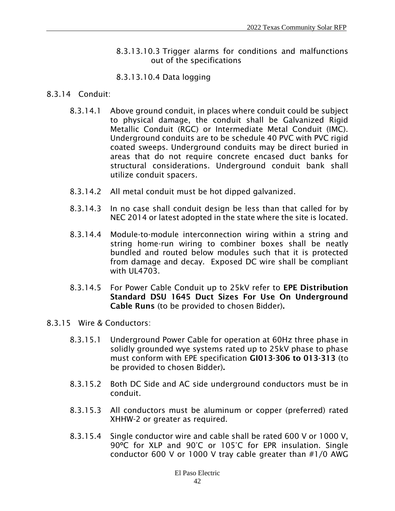8.3.13.10.3 Trigger alarms for conditions and malfunctions out of the specifications

#### 8.3.13.10.4 Data logging

#### 8.3.14 Conduit:

- 8.3.14.1 Above ground conduit, in places where conduit could be subject to physical damage, the conduit shall be Galvanized Rigid Metallic Conduit (RGC) or Intermediate Metal Conduit (IMC). Underground conduits are to be schedule 40 PVC with PVC rigid coated sweeps. Underground conduits may be direct buried in areas that do not require concrete encased duct banks for structural considerations. Underground conduit bank shall utilize conduit spacers.
- 8.3.14.2 All metal conduit must be hot dipped galvanized.
- 8.3.14.3 In no case shall conduit design be less than that called for by NEC 2014 or latest adopted in the state where the site is located.
- 8.3.14.4 Module-to-module interconnection wiring within a string and string home-run wiring to combiner boxes shall be neatly bundled and routed below modules such that it is protected from damage and decay. Exposed DC wire shall be compliant with  $U14703$
- 8.3.14.5 For Power Cable Conduit up to 25kV refer to EPE Distribution Standard DSU 1645 Duct Sizes For Use On Underground Cable Runs (to be provided to chosen Bidder).
- 8.3.15 Wire & Conductors:
	- 8.3.15.1 Underground Power Cable for operation at 60Hz three phase in solidly grounded wye systems rated up to 25kV phase to phase must conform with EPE specification GI013-306 to 013-313 (to be provided to chosen Bidder).
	- 8.3.15.2 Both DC Side and AC side underground conductors must be in conduit.
	- 8.3.15.3 All conductors must be aluminum or copper (preferred) rated XHHW-2 or greater as required.
	- 8.3.15.4 Single conductor wire and cable shall be rated 600 V or 1000 V, 90ºC for XLP and 90°C or 105°C for EPR insulation. Single conductor 600 V or 1000 V tray cable greater than #1/0 AWG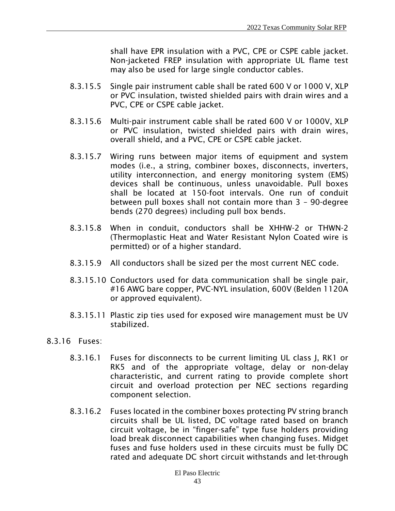shall have EPR insulation with a PVC, CPE or CSPE cable jacket. Non-jacketed FREP insulation with appropriate UL flame test may also be used for large single conductor cables.

- 8.3.15.5 Single pair instrument cable shall be rated 600 V or 1000 V, XLP or PVC insulation, twisted shielded pairs with drain wires and a PVC, CPE or CSPE cable jacket.
- 8.3.15.6 Multi-pair instrument cable shall be rated 600 V or 1000V, XLP or PVC insulation, twisted shielded pairs with drain wires, overall shield, and a PVC, CPE or CSPE cable jacket.
- 8.3.15.7 Wiring runs between major items of equipment and system modes (i.e., a string, combiner boxes, disconnects, inverters, utility interconnection, and energy monitoring system (EMS) devices shall be continuous, unless unavoidable. Pull boxes shall be located at 150-foot intervals. One run of conduit between pull boxes shall not contain more than 3 – 90-degree bends (270 degrees) including pull box bends.
- 8.3.15.8 When in conduit, conductors shall be XHHW-2 or THWN-2 (Thermoplastic Heat and Water Resistant Nylon Coated wire is permitted) or of a higher standard.
- 8.3.15.9 All conductors shall be sized per the most current NEC code.
- 8.3.15.10 Conductors used for data communication shall be single pair, #16 AWG bare copper, PVC-NYL insulation, 600V (Belden 1120A or approved equivalent).
- 8.3.15.11 Plastic zip ties used for exposed wire management must be UV stabilized.
- 8.3.16 Fuses:
	- 8.3.16.1 Fuses for disconnects to be current limiting UL class J, RK1 or RK5 and of the appropriate voltage, delay or non-delay characteristic, and current rating to provide complete short circuit and overload protection per NEC sections regarding component selection.
	- 8.3.16.2 Fuses located in the combiner boxes protecting PV string branch circuits shall be UL listed, DC voltage rated based on branch circuit voltage, be in "finger-safe" type fuse holders providing load break disconnect capabilities when changing fuses. Midget fuses and fuse holders used in these circuits must be fully DC rated and adequate DC short circuit withstands and let-through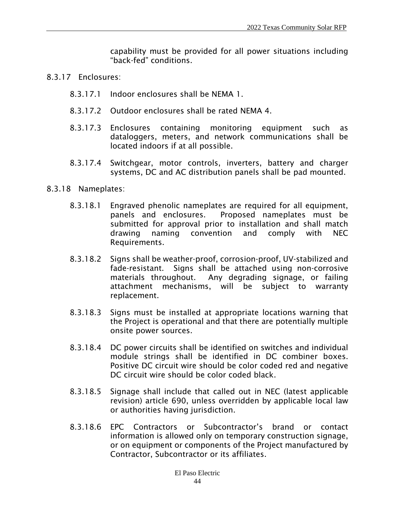capability must be provided for all power situations including "back-fed" conditions.

- 8.3.17 Enclosures:
	- 8.3.17.1 Indoor enclosures shall be NEMA 1.
	- 8.3.17.2 Outdoor enclosures shall be rated NEMA 4.
	- 8.3.17.3 Enclosures containing monitoring equipment such as dataloggers, meters, and network communications shall be located indoors if at all possible.
	- 8.3.17.4 Switchgear, motor controls, inverters, battery and charger systems, DC and AC distribution panels shall be pad mounted.
- 8.3.18 Nameplates:
	- 8.3.18.1 Engraved phenolic nameplates are required for all equipment, panels and enclosures. Proposed nameplates must be submitted for approval prior to installation and shall match drawing naming convention and comply with NEC Requirements.
	- 8.3.18.2 Signs shall be weather-proof, corrosion-proof, UV-stabilized and fade-resistant. Signs shall be attached using non-corrosive materials throughout. Any degrading signage, or failing attachment mechanisms, will be subject to warranty replacement.
	- 8.3.18.3 Signs must be installed at appropriate locations warning that the Project is operational and that there are potentially multiple onsite power sources.
	- 8.3.18.4 DC power circuits shall be identified on switches and individual module strings shall be identified in DC combiner boxes. Positive DC circuit wire should be color coded red and negative DC circuit wire should be color coded black.
	- 8.3.18.5 Signage shall include that called out in NEC (latest applicable revision) article 690, unless overridden by applicable local law or authorities having jurisdiction.
	- 8.3.18.6 EPC Contractors or Subcontractor's brand or contact information is allowed only on temporary construction signage, or on equipment or components of the Project manufactured by Contractor, Subcontractor or its affiliates.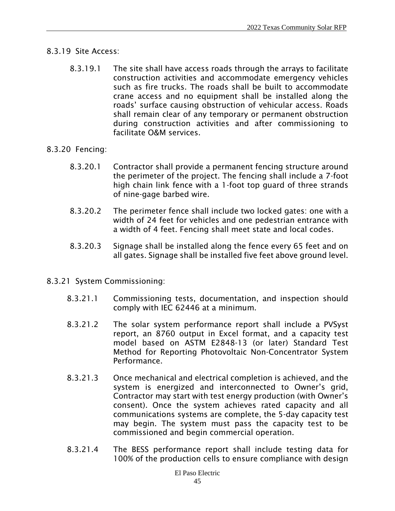#### 8.3.19 Site Access:

- 8.3.19.1 The site shall have access roads through the arrays to facilitate construction activities and accommodate emergency vehicles such as fire trucks. The roads shall be built to accommodate crane access and no equipment shall be installed along the roads' surface causing obstruction of vehicular access. Roads shall remain clear of any temporary or permanent obstruction during construction activities and after commissioning to facilitate O&M services.
- 8.3.20 Fencing:
	- 8.3.20.1 Contractor shall provide a permanent fencing structure around the perimeter of the project. The fencing shall include a 7-foot high chain link fence with a 1-foot top guard of three strands of nine-gage barbed wire.
	- 8.3.20.2 The perimeter fence shall include two locked gates: one with a width of 24 feet for vehicles and one pedestrian entrance with a width of 4 feet. Fencing shall meet state and local codes.
	- 8.3.20.3 Signage shall be installed along the fence every 65 feet and on all gates. Signage shall be installed five feet above ground level.
- 8.3.21 System Commissioning:
	- 8.3.21.1 Commissioning tests, documentation, and inspection should comply with IEC 62446 at a minimum.
	- 8.3.21.2 The solar system performance report shall include a PVSyst report, an 8760 output in Excel format, and a capacity test model based on ASTM E2848-13 (or later) Standard Test Method for Reporting Photovoltaic Non-Concentrator System Performance.
	- 8.3.21.3 Once mechanical and electrical completion is achieved, and the system is energized and interconnected to Owner's grid, Contractor may start with test energy production (with Owner's consent). Once the system achieves rated capacity and all communications systems are complete, the 5-day capacity test may begin. The system must pass the capacity test to be commissioned and begin commercial operation.
	- 8.3.21.4 The BESS performance report shall include testing data for 100% of the production cells to ensure compliance with design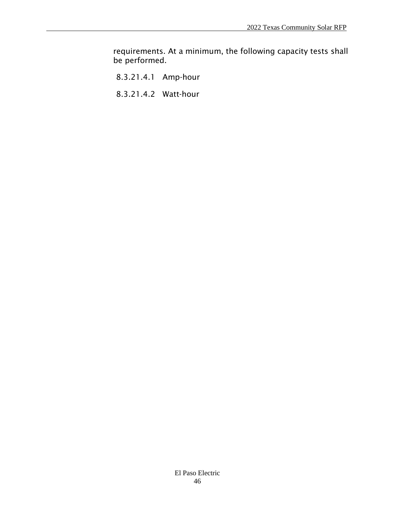requirements. At a minimum, the following capacity tests shall be performed.

- 8.3.21.4.1 Amp-hour
- 8.3.21.4.2 Watt-hour